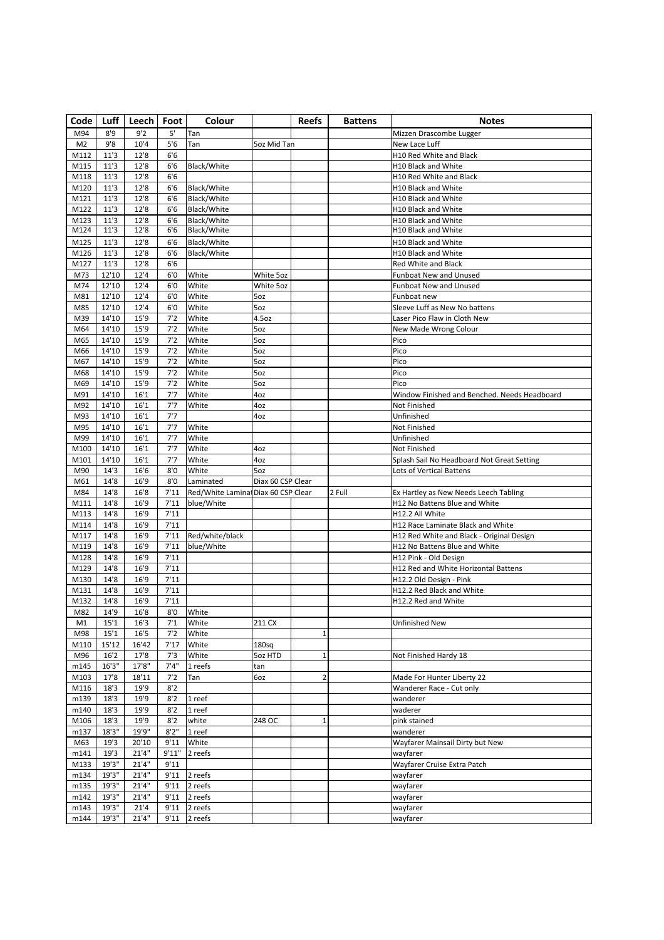| Code           | Luff         | Leech        | Foot         | Colour                              |                   | Reefs          | <b>Battens</b> | Notes                                                           |
|----------------|--------------|--------------|--------------|-------------------------------------|-------------------|----------------|----------------|-----------------------------------------------------------------|
| M94            | 8'9          | 9'2          | 5'           | Tan                                 |                   |                |                | Mizzen Drascombe Lugger                                         |
| M <sub>2</sub> | 9'8          | 10'4         | 5'6          | Tan                                 | 5oz Mid Tan       |                |                | New Lace Luff                                                   |
| M112           | 11'3         | 12'8         | 6'6          |                                     |                   |                |                | H10 Red White and Black                                         |
| M115           | 11'3         | 12'8         | 6'6          | <b>Black/White</b>                  |                   |                |                | H10 Black and White                                             |
| M118           | 11'3         | 12'8         | 6'6          |                                     |                   |                |                | H10 Red White and Black                                         |
| M120           | 11'3         | 12'8         | 6'6          | Black/White                         |                   |                |                | <b>H10 Black and White</b>                                      |
| M121           | 11'3         | 12'8         | 6'6          | Black/White                         |                   |                |                | H10 Black and White                                             |
| M122           | 11'3         | 12'8         | 6'6          | Black/White                         |                   |                |                | H10 Black and White                                             |
| M123<br>M124   | 11'3<br>11'3 | 12'8<br>12'8 | 6'6<br>6'6   | Black/White<br>Black/White          |                   |                |                | H10 Black and White<br><b>H10 Black and White</b>               |
|                |              |              |              |                                     |                   |                |                |                                                                 |
| M125<br>M126   | 11'3<br>11'3 | 12'8<br>12'8 | 6'6          | Black/White                         |                   |                |                | H10 Black and White                                             |
| M127           | 11'3         | 12'8         | 6'6<br>6'6   | Black/White                         |                   |                |                | H10 Black and White<br><b>Red White and Black</b>               |
| M73            | 12'10        | 12'4         | 6'0          | White                               | White 5oz         |                |                | <b>Funboat New and Unused</b>                                   |
| M74            | 12'10        | 12'4         | 6'0          | White                               | White 5oz         |                |                | Funboat New and Unused                                          |
| M81            | 12'10        | 12'4         | 6'0          | White                               | 5oz               |                |                | Funboat new                                                     |
| M85            | 12'10        | 12'4         | 6'0          | White                               | 5oz               |                |                | Sleeve Luff as New No battens                                   |
| M39            | 14'10        | 15'9         | 7'2          | White                               | 4.5oz             |                |                | Laser Pico Flaw in Cloth New                                    |
| M64            | 14'10        | 15'9         | 7'2          | White                               | 5oz               |                |                | New Made Wrong Colour                                           |
| M65            | 14'10        | 15'9         | 7'2          | White                               | 5oz               |                |                | Pico                                                            |
| M66            | 14'10        | 15'9         | 7'2          | White                               | 5oz               |                |                | Pico                                                            |
| M67            | 14'10        | 15'9         | 7'2          | White                               | 5oz               |                |                | Pico                                                            |
| M68            | 14'10        | 15'9         | 7'2          | White                               | 5oz               |                |                | Pico                                                            |
| M69            | 14'10        | 15'9         | 7'2          | White                               | 5oz               |                |                | Pico                                                            |
| M91            | 14'10        | 16'1         | 7'7          | White                               | 4oz               |                |                | Window Finished and Benched. Needs Headboard                    |
| M92            | 14'10        | 16'1         | 7'7          | White                               | 4oz               |                |                | <b>Not Finished</b>                                             |
| M93            | 14'10        | 16'1         | 7'7          |                                     | 4oz               |                |                | Unfinished                                                      |
| M95            | 14'10        | 16'1         | 7'7          | White                               |                   |                |                | Not Finished                                                    |
| M99            | 14'10        | 16'1         | 7'7          | White                               |                   |                |                | Unfinished                                                      |
| M100           | 14'10        | 16'1         | 7'7          | White                               | 4oz               |                |                | Not Finished                                                    |
| M101           | 14'10        | 16'1         | 7'7          | White                               | 4oz               |                |                | Splash Sail No Headboard Not Great Setting                      |
| M90            | 14'3         | 16'6         | 8'0          | White                               | 5oz               |                |                | <b>Lots of Vertical Battens</b>                                 |
| M61            | 14'8         | 16'9         | 8'0          | Laminated                           | Diax 60 CSP Clear |                |                |                                                                 |
| M84            | 14'8         | 16'8         | 7'11         | Red/White Laminal Diax 60 CSP Clear |                   |                | 2 Full         | Ex Hartley as New Needs Leech Tabling                           |
| M111           | 14'8         | 16'9         | 7'11         | blue/White                          |                   |                |                | H12 No Battens Blue and White                                   |
| M113           | 14'8         | 16'9         | 7'11         |                                     |                   |                |                | H12.2 All White                                                 |
| M114           | 14'8         | 16'9         | 7'11         |                                     |                   |                |                | H12 Race Laminate Black and White                               |
| M117           | 14'8         | 16'9         | 7'11         | Red/white/black                     |                   |                |                | H12 Red White and Black - Original Design                       |
| M119           | 14'8         | 16'9         | 7'11         | blue/White                          |                   |                |                | H12 No Battens Blue and White                                   |
| M128           | 14'8         | 16'9         | 7'11         |                                     |                   |                |                | H12 Pink - Old Design                                           |
| M129           | 14'8         | 16'9         | 7'11<br>7'11 |                                     |                   |                |                | H12 Red and White Horizontal Battens<br>H12.2 Old Design - Pink |
| M130<br>M131   | 14'8<br>14'8 | 16'9<br>16'9 | 7'11         |                                     |                   |                |                | H12.2 Red Black and White                                       |
| M132           | 14'8         | 16'9         | 7'11         |                                     |                   |                |                | H12.2 Red and White                                             |
| M82            | 14'9         | 16'8         | 8'0          | White                               |                   |                |                |                                                                 |
| M1             | 15'1         | 16'3         | 7'1          | White                               | 211 CX            |                |                | Unfinished New                                                  |
| M98            | 15'1         | 16'5         | 7'2          | White                               |                   | $\mathbf 1$    |                |                                                                 |
| M110           | 15'12        | 16'42        | 7'17         | White                               | 180sq             |                |                |                                                                 |
| M96            | 16'2         | 17'8         | 7'3          | White                               | 5oz HTD           | $\mathbf 1$    |                | Not Finished Hardy 18                                           |
| m145           | 16'3"        | 17'8"        | 7'4''        | 1 reefs                             | tan               |                |                |                                                                 |
| M103           | 17'8         | 18'11        | 7'2          | Tan                                 | 6oz               | $\overline{2}$ |                | Made For Hunter Liberty 22                                      |
| M116           | 18'3         | 19'9         | 8'2          |                                     |                   |                |                | Wanderer Race - Cut only                                        |
| m139           | 18'3         | 19'9         | 8'2          | 1 reef                              |                   |                |                | wanderer                                                        |
| m140           | 18'3         | 19'9         | 8'2          | 1 reef                              |                   |                |                | waderer                                                         |
| M106           | 18'3         | 19'9         | 8'2          | white                               | 248 OC            | $\mathbf 1$    |                | pink stained                                                    |
| m137           | 18'3"        | 19'9"        | 8'2''        | 1 reef                              |                   |                |                | wanderer                                                        |
| M63            | 19'3         | 20'10        | 9'11         | White                               |                   |                |                | Wayfarer Mainsail Dirty but New                                 |
| m141           | 19'3         | 21'4''       | 9'11"        | 2 reefs                             |                   |                |                | wayfarer                                                        |
| M133           | 19'3"        | 21'4''       | 9'11         |                                     |                   |                |                | Wayfarer Cruise Extra Patch                                     |
| m134           | 19'3"        | 21'4''       | 9'11         | 2 reefs                             |                   |                |                | wayfarer                                                        |
| m135           | 19'3"        | 21'4''       | 9'11         | 2 reefs                             |                   |                |                | wayfarer                                                        |
| m142           | 19'3"        | 21'4''       | 9'11         | 2 reefs                             |                   |                |                | wayfarer                                                        |
| m143           | 19'3"        | 21'4         | 9'11         | 2 reefs                             |                   |                |                | wayfarer                                                        |
| m144           | 19'3"        | 21'4''       | 9'11         | 2 reefs                             |                   |                |                | wayfarer                                                        |